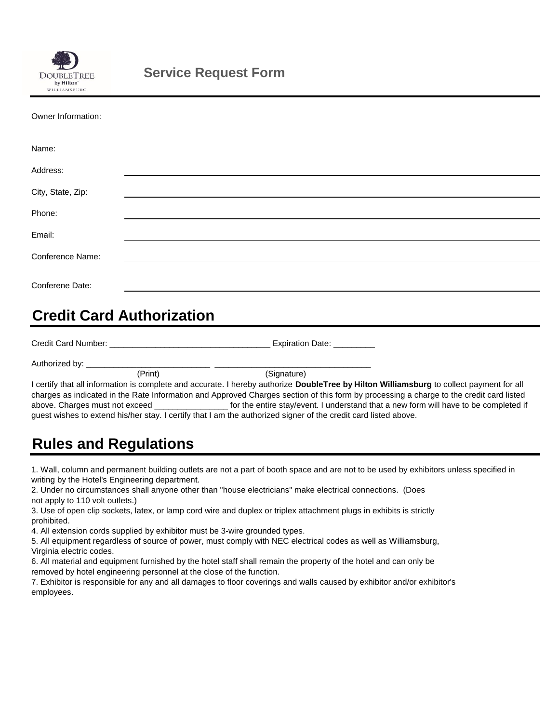

| Owner Information: |  |
|--------------------|--|
|--------------------|--|

| Name:             |  |  |  |
|-------------------|--|--|--|
| Address:          |  |  |  |
| City, State, Zip: |  |  |  |
| Phone:            |  |  |  |
|                   |  |  |  |
| Email:            |  |  |  |
| Conference Name:  |  |  |  |
| Conferene Date:   |  |  |  |
|                   |  |  |  |

### **Credit Card Authorization**

| Credit Card Number:<br>Expiration Date:            |                                                                                                                                                 |  |
|----------------------------------------------------|-------------------------------------------------------------------------------------------------------------------------------------------------|--|
| Authorized by:                                     |                                                                                                                                                 |  |
| (Print)                                            | (Signature)                                                                                                                                     |  |
|                                                    | I certify that all information is complete and accurate. I hereby authorize <b>DoubleTree by Hilton Williamsburg</b> to collect payment for all |  |
|                                                    | charges as indicated in the Rate Information and Approved Charges section of this form by processing a charge to the credit card listed         |  |
| above. Charges must not exceed ___________________ | for the entire stay/event. I understand that a new form will have to be completed if                                                            |  |
|                                                    | guest wishes to extend his/her stay. I certify that I am the authorized signer of the credit card listed above.                                 |  |

### **Rules and Regulations**

1. Wall, column and permanent building outlets are not a part of booth space and are not to be used by exhibitors unless specified in writing by the Hotel's Engineering department.

2. Under no circumstances shall anyone other than "house electricians" make electrical connections. (Does not apply to 110 volt outlets.)

3. Use of open clip sockets, latex, or lamp cord wire and duplex or triplex attachment plugs in exhibits is strictly prohibited.

4. All extension cords supplied by exhibitor must be 3-wire grounded types.

5. All equipment regardless of source of power, must comply with NEC electrical codes as well as Williamsburg, Virginia electric codes.

6. All material and equipment furnished by the hotel staff shall remain the property of the hotel and can only be removed by hotel engineering personnel at the close of the function.

7. Exhibitor is responsible for any and all damages to floor coverings and walls caused by exhibitor and/or exhibitor's employees.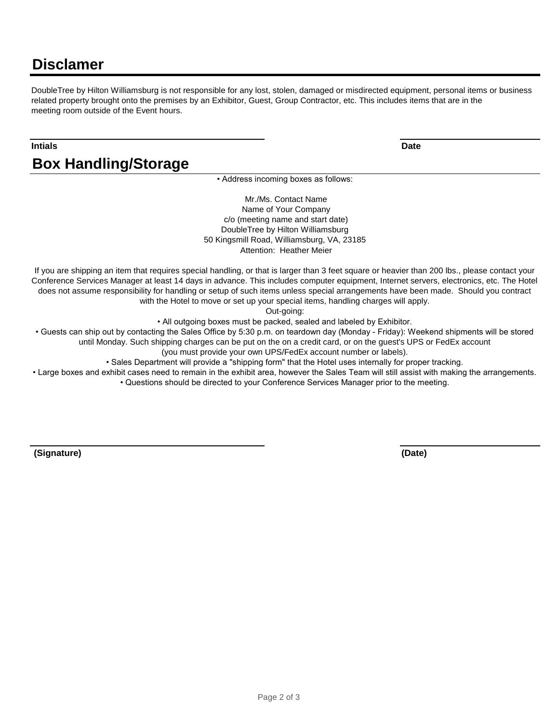### **Disclamer**

DoubleTree by Hilton Williamsburg is not responsible for any lost, stolen, damaged or misdirected equipment, personal items or business related property brought onto the premises by an Exhibitor, Guest, Group Contractor, etc. This includes items that are in the meeting room outside of the Event hours.

#### **Intials Date**

**Box Handling/Storage**

• Address incoming boxes as follows:

 Mr./Ms. Contact Name Name of Your Company c/o (meeting name and start date) DoubleTree by Hilton Williamsburg 50 Kingsmill Road, Williamsburg, VA, 23185 Attention: Heather Meier

If you are shipping an item that requires special handling, or that is larger than 3 feet square or heavier than 200 lbs., please contact your Conference Services Manager at least 14 days in advance. This includes computer equipment, Internet servers, electronics, etc. The Hotel does not assume responsibility for handling or setup of such items unless special arrangements have been made. Should you contract with the Hotel to move or set up your special items, handling charges will apply.

Out-going:

• All outgoing boxes must be packed, sealed and labeled by Exhibitor.

• Guests can ship out by contacting the Sales Office by 5:30 p.m. on teardown day (Monday - Friday): Weekend shipments will be stored until Monday. Such shipping charges can be put on the on a credit card, or on the guest's UPS or FedEx account

(you must provide your own UPS/FedEx account number or labels).

• Sales Department will provide a "shipping form" that the Hotel uses internally for proper tracking.

• Large boxes and exhibit cases need to remain in the exhibit area, however the Sales Team will still assist with making the arrangements.

• Questions should be directed to your Conference Services Manager prior to the meeting.

 **(Signature) (Date)**